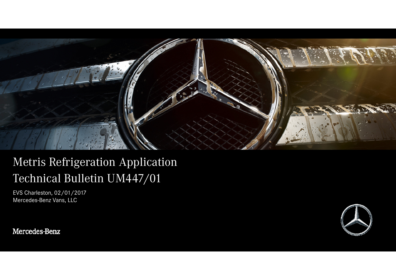

# Metris Refrigeration ApplicationTechnical Bulletin UM447/01

EVS Charleston, 02/01/2017Mercedes-Benz Vans, LLC

Mercedes-Benz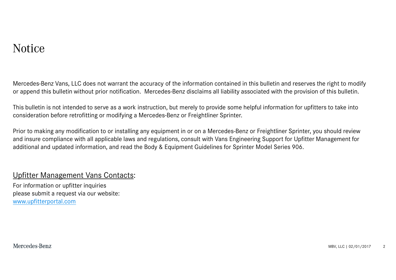### Notice

Mercedes-Benz Vans, LLC does not warrant the accuracy of the information contained in this bulletin and reserves the right to modify or append this bulletin without prior notification. Mercedes-Benz disclaims all liability associated with the provision of this bulletin.

This bulletin is not intended to serve as a work instruction, but merely to provide some helpful information for upfitters to take into consideration before retrofitting or modifying a Mercedes-Benz or Freightliner Sprinter.

Prior to making any modification to or installing any equipment in or on a Mercedes-Benz or Freightliner Sprinter, you should review and insure compliance with all applicable laws and regulations, consult with Vans Engineering Support for Upfitter Management for additional and updated information, and read the Body & Equipment Guidelines for Sprinter Model Series 906.

#### Upfitter Management Vans Contacts:

For information or upfitter inquiries please submit a request via our website:www.upfitterportal.com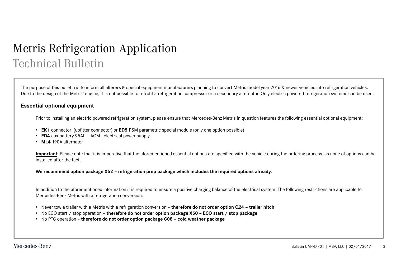## Metris Refrigeration ApplicationTechnical Bulletin

The purpose of this bulletin is to inform all alterers & special equipment manufacturers planning to convert Metris model year 2016 & newer vehicles into refrigeration vehicles. Due to the design of the Metris' engine, it is not possible to retrofit a refrigeration compressor or a secondary alternator. Only electric powered refrigeration systems can be used.

#### **Essential optional equipment**

Prior to installing an electric powered refrigeration system, please ensure that Mercedes-Benz Metris in question features the following essential optional equipment:

- **EK1** connector (upfitter connector) or **ED5** PSM parametric special module (only one option possible)
- **ED4** aux battery 95Ah AGM –electrical power supply
- **ML4** 190A alternator

Important: Please note that it is imperative that the aforementioned essential options are specified with the vehicle during the ordering process, as none of options can be installed after the fact.

We recommend option package X52 – refrigeration prep package which includes the required options already.

In addition to the aforementioned information it is required to ensure a positive charging balance of the electrical system. The following restrictions are applicable to Mercedes-Benz Metris with a refrigeration conversion:

- Never tow a trailer with a Metris with a refrigeration conversion **therefore do not order option Q24 – trailer hitch**
- No ECO start / stop operation **therefore do not order option package X50 – ECO start / stop package**
- No PTC operation **therefore do not order option package C08 – cold weather package**

Mercedes-Benz